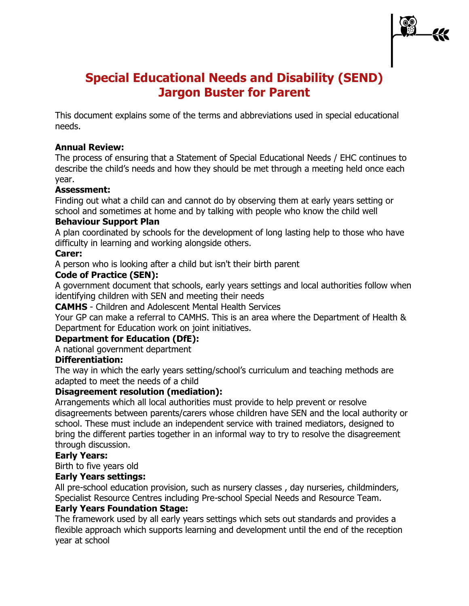# **Special Educational Needs and Disability (SEND) Jargon Buster for Parent**

This document explains some of the terms and abbreviations used in special educational needs.

# **Annual Review:**

The process of ensuring that a Statement of Special Educational Needs / EHC continues to describe the child's needs and how they should be met through a meeting held once each year.

#### **Assessment:**

Finding out what a child can and cannot do by observing them at early years setting or school and sometimes at home and by talking with people who know the child well

# **Behaviour Support Plan**

A plan coordinated by schools for the development of long lasting help to those who have difficulty in learning and working alongside others.

# **Carer:**

A person who is looking after a child but isn't their birth parent

# **Code of Practice (SEN):**

A government document that schools, early years settings and local authorities follow when identifying children with SEN and meeting their needs

**CAMHS** - Children and Adolescent Mental Health Services

Your GP can make a referral to CAMHS. This is an area where the Department of Health & Department for Education work on joint initiatives.

# **Department for Education (DfE):**

A national government department

# **Differentiation:**

The way in which the early years setting/school's curriculum and teaching methods are adapted to meet the needs of a child

# **Disagreement resolution (mediation):**

Arrangements which all local authorities must provide to help prevent or resolve disagreements between parents/carers whose children have SEN and the local authority or school. These must include an independent service with trained mediators, designed to bring the different parties together in an informal way to try to resolve the disagreement through discussion.

# **Early Years:**

Birth to five years old

# **Early Years settings:**

All pre-school education provision, such as nursery classes , day nurseries, childminders, Specialist Resource Centres including Pre-school Special Needs and Resource Team.

#### **Early Years Foundation Stage:**

The framework used by all early years settings which sets out standards and provides a flexible approach which supports learning and development until the end of the reception year at school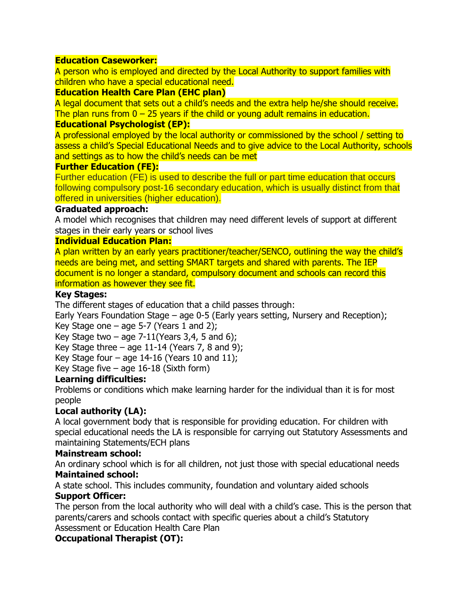## **Education Caseworker:**

A person who is employed and directed by the Local Authority to support families with children who have a special educational need.

## **Education Health Care Plan (EHC plan)**

A legal document that sets out a child's needs and the extra help he/she should receive. The plan runs from  $0 - 25$  years if the child or young adult remains in education.

## **Educational Psychologist (EP):**

A professional employed by the local authority or commissioned by the school / setting to assess a child's Special Educational Needs and to give advice to the Local Authority, schools and settings as to how the child's needs can be met

#### **Further Education (FE):**

Further education (FE) is used to describe the full or part time education that occurs following compulsory post-16 secondary education, which is usually distinct from that offered in universities (higher education).

#### **Graduated approach:**

A model which recognises that children may need different levels of support at different stages in their early years or school lives

#### **Individual Education Plan:**

A plan written by an early years practitioner/teacher/SENCO, outlining the way the child's needs are being met, and setting SMART targets and shared with parents. The IEP document is no longer a standard, compulsory document and schools can record this information as however they see fit.

#### **Key Stages:**

The different stages of education that a child passes through:

Early Years Foundation Stage – age 0-5 (Early years setting, Nursery and Reception); Key Stage one  $-$  age 5-7 (Years 1 and 2);

Key Stage two  $-$  age 7-11(Years 3,4, 5 and 6);

Key Stage three  $-$  age 11-14 (Years 7, 8 and 9);

Key Stage four  $-$  age 14-16 (Years 10 and 11);

Key Stage five  $-$  age 16-18 (Sixth form)

# **Learning difficulties:**

Problems or conditions which make learning harder for the individual than it is for most people

# **Local authority (LA):**

A local government body that is responsible for providing education. For children with special educational needs the LA is responsible for carrying out Statutory Assessments and maintaining Statements/ECH plans

#### **Mainstream school:**

An ordinary school which is for all children, not just those with special educational needs **Maintained school:**

A state school. This includes community, foundation and voluntary aided schools **Support Officer:**

The person from the local authority who will deal with a child's case. This is the person that parents/carers and schools contact with specific queries about a child's Statutory Assessment or Education Health Care Plan

# **Occupational Therapist (OT):**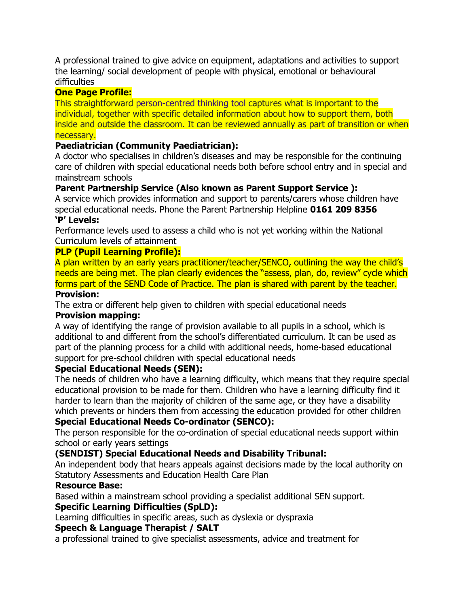A professional trained to give advice on equipment, adaptations and activities to support the learning/ social development of people with physical, emotional or behavioural difficulties

# **One Page Profile:**

This straightforward [person-centred thinking tool](http://www.personalisingeducation.org/?page_id=29) captures what is important to the individual, together with specific detailed information about how to support them, both inside and outside the classroom. It can be reviewed annually as part of transition or when necessary.

# **Paediatrician (Community Paediatrician):**

A doctor who specialises in children's diseases and may be responsible for the continuing care of children with special educational needs both before school entry and in special and mainstream schools

# **Parent Partnership Service (Also known as Parent Support Service ):**

A service which provides information and support to parents/carers whose children have special educational needs. Phone the Parent Partnership Helpline **0161 209 8356**

## **'P' Levels:**

Performance levels used to assess a child who is not yet working within the National Curriculum levels of attainment

# **PLP (Pupil Learning Profile):**

A plan written by an early years practitioner/teacher/SENCO, outlining the way the child's needs are being met. The plan clearly evidences the "assess, plan, do, review" cycle which forms part of the SEND Code of Practice. The plan is shared with parent by the teacher.

#### **Provision:**

The extra or different help given to children with special educational needs

# **Provision mapping:**

A way of identifying the range of provision available to all pupils in a school, which is additional to and different from the school's differentiated curriculum. It can be used as part of the planning process for a child with additional needs, home-based educational support for pre-school children with special educational needs

#### **Special Educational Needs (SEN):**

The needs of children who have a learning difficulty, which means that they require special educational provision to be made for them. Children who have a learning difficulty find it harder to learn than the majority of children of the same age, or they have a disability which prevents or hinders them from accessing the education provided for other children

# **Special Educational Needs Co-ordinator (SENCO):**

The person responsible for the co-ordination of special educational needs support within school or early years settings

# **(SENDIST) Special Educational Needs and Disability Tribunal:**

An independent body that hears appeals against decisions made by the local authority on Statutory Assessments and Education Health Care Plan

#### **Resource Base:**

Based within a mainstream school providing a specialist additional SEN support.

#### **Specific Learning Difficulties (SpLD):**

Learning difficulties in specific areas, such as dyslexia or dyspraxia

#### **Speech & Language Therapist / SALT**

a professional trained to give specialist assessments, advice and treatment for